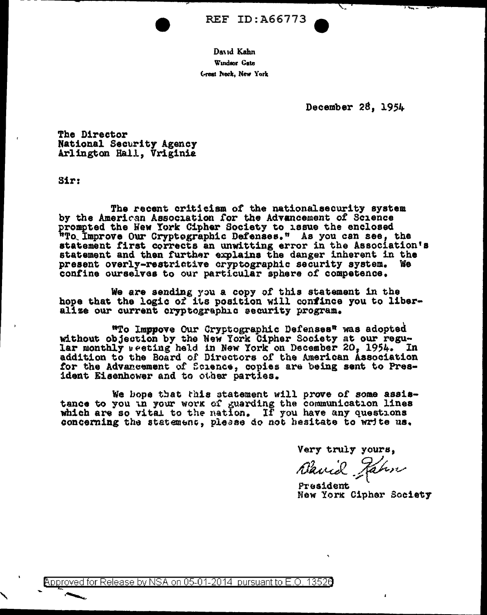**REF ID: A66773** 

David Kahn Windsor Gate Great Neck, New York

December 28, 1954

**The Director** National Security Agency Arlington Hall, Vriginia

**Sir:** 

The recent criticism of the nationalsecurity system<br>by the American Association for the Advancement of Science prompted the New York Cipher Society to 18sue the enclosed "To Improve Our Cryptographic Defenses." As you can see, the statement first corrects an unwitting error in the Association's statement and then further explains the danger inherent in the present overly-restrictive cryptographic security system. We confine ourselves to our particular sphere of competence.

We are sending you a copy of this statement in the<br>hope that the logic of its position will confince you to liberalize our current cryptographic security program.

"To Imppove Our Cryptographic Defenses" was adopted without objection by the New York Cipher Society at our regular monthly weeting held in New York on December 20, 1954. In addition to the Board of Directors of the American Association for the Advancement of Science, copies are being sent to President Eisenhower and to other parties.

We hope that this statement will prove of some assistance to you in your work of guarding the communication lines which are so vital to the nation. If you have any questions concerning the statement, please do not hesitate to write us.

Very truly yours,

Blanck Jahn

President New York Cipher Society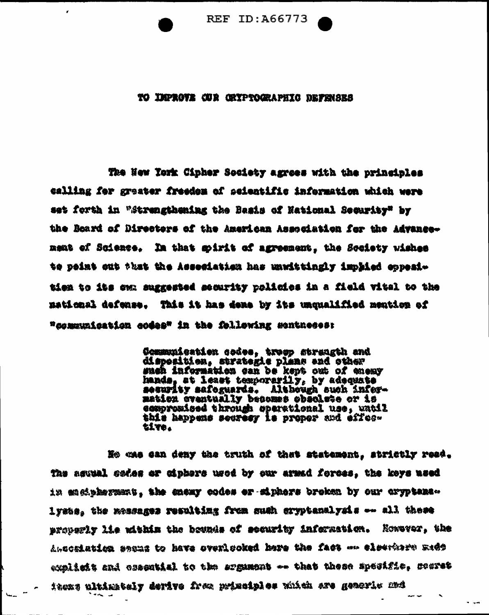

## TO IMPROVE CUR GRYPTOGRAPHIC DEFENSES

The Hew Tork Cipher Society agrees with the principles calling for greater freedom of scientific information which were set forth in "Strengthening the Basis of National Security" by the Beard of Directors of the American Association for the Advancenent of Science. In that goirit of agreement, the Society wishes te peint out that the Asseciation has unwittingly implied oppeaitien to its ow, suggested security rolicies in a field vital to the to goidonal defonse. This it has done by its unqualified montion of "communication codes" in the following sentheses"

> Communication codes, troop strangth and<br>disposition, strategic plans and other such information can be kept out of enemy hands, at least temporarily, by adequate sesurity safeguards. Although such infermaticn cventually becomes obsolete or is compromised through sperational use, watil this happens secresy is proper and effective.

He cas can deny the truth of that statement. strictly reed. The assual sedes or diphere used by our armed forces. the keys used in engipherment, the enexy codes or siphers broken by our cryptens. lysts, the messages resulting from such cryptanalysis -- all these properly lie mithin the bounds of security infermation. Nowever, the the witning spans to have avenlooked here the fact on elections and explisit and csecutial to the essument -- that these specific, seerst iters ultimately derive reincludies with extending this has.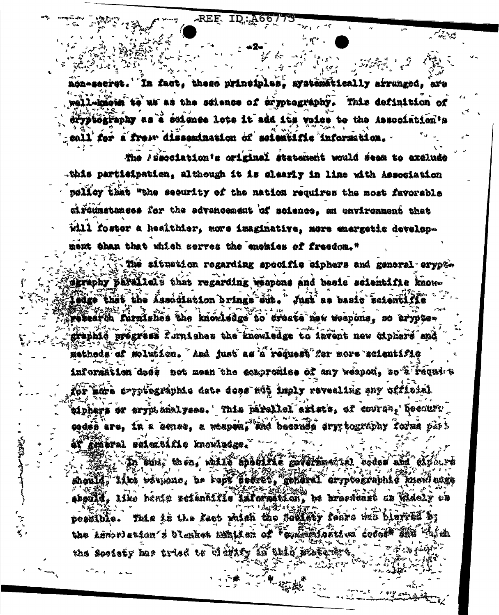REF ID:A667

می دید.

'In fact, these principles, systematically strunged, are 热感热的主要数字的第三 all-kaoja to us as the science of cryptography. This definition of eryptography as a saignee lote it add its voice to the Association's sall for a frow dissemination of scientific information.

The *l'inaciation's original atatement* would deam to axelude -this participation, although it is clearly in line with Association policy that "the security of the nation requires the most favorable circumstances for the advancement of science, an environment that will foster a healthier, more imaginative, more energetic development than that which serves the encities of freedom."

The situation regarding specific eiphers and general erypte sgraphy parallels that regarding reapons and basic scientific knowledge that the Association brings eit. " Just as basic scientific research furnishes the knowledge to create new weapons. so aryptegraphid pregress furnishes the mowledge to invent new diphere and methods of molution, And just as a request for more scientific information doos not mean the coapromise of any weapon, so t request for mare syptes might date doos at imply revealing any official piphers or errutakalyses. This parallel exists, of course, becourt codes are, in a henes, a wespen, and because ary tography forms part et general seiecuifie knowledge.

In aint, then, with the lifts government it dodes and about the shquild, ilka bërman, ne rept poërët, gendral errptographis kucil nuga skould. Like hente setänättie laforastion, be broedvast as videly ob possible. This is the fact with the follow fears will have it the Lemmetston i blesket mint af "syndiklestina seder" IKI the society me tried to disinty in this state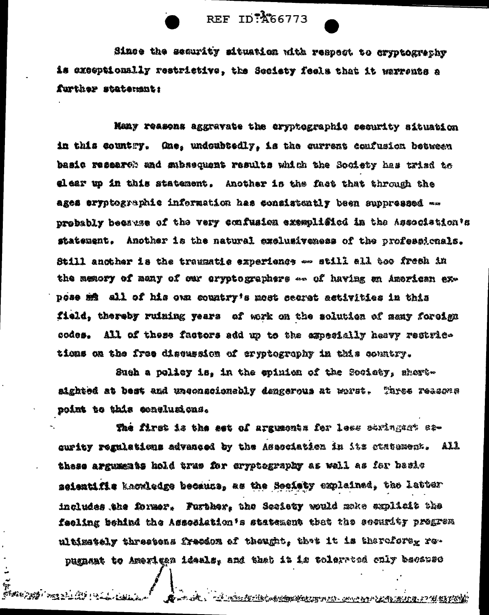REF ID: 466773

Since the security situation with respect to cryptogrephy is exceptionally restrictive, the Seciety feels that it warrents a further statement:

Many reasons aggravate the cryptographic security situation in this country. Ane, undoubtedly, is the current confusion between basic research and subsequent results which the Society has trisd to elear up in this statement, Another is the fact that through the ages eryptographie information has consistently been suppressed …… probably because of the very confusion exemplisied in the Association's statement. Another is the natural exclusiveness of the professionals. Still another is the traggatic experience on still all too fresh in the memory of many of our oryptographers -- of having an Amorican expose mů all of his own country's most secret astivities in this field, thereby ruining years of work on the solution of samy foreign codes. All of these factors add up to the ampesially heavy restrictions on the free discussion of eryptography in this country.

Sueh a policy is, in the epinica of the Society, shortaighted at best and unconscionably dengerous at worst. Three reasons point to this conclusions.

The first is the est of arguments for less stringent stcurity regulations advanced by the Asecciation in its statument. All these arguments hold true for argutagraphy as well as for basis seientifie kaowledge becauss, as the Society explained, the latter includes the former. Further, the Seciety would make explicit the feeling behind the Asseeistion's statement that the socurity pregrem ultimetely threstons freedom of thought, thet it is therefore<sub>x</sub> ropugnant to Amerigan ideals, and that it is tolerated only because

બે<br>*ઇજિંગ ટાણ્ફી' અ*ક્કટને લેટ **K**ostik, Térdzinikokimanton montrizioni popular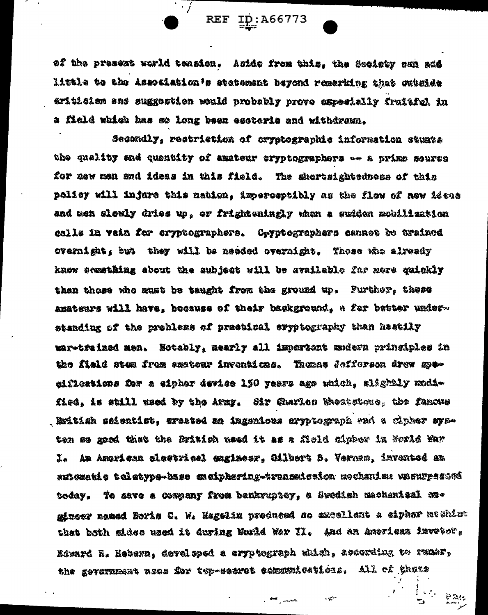REF ID: A66773

of the presext world tension. Aside from this, the Society san add little to the Association's statement beyond remerking that outside eritician and suggestion would probably prove expecially fruitful in a field which has so long been esoteris and withdrawn.

Secondly, restriction of cryptographic information stumts the quality and quantity of amateur eryptographers -- a prime source for now men and ideas in this field. The shortsightedness of this policy will injure this nation, imperceptibly as the flow of new ideas and men alevly dries up, or frighteningly when a sudden mobilisation calls in vain for cryptographers. Cryptographers cannot be trained overnight, but they will be needed overnight. Those who already know semathing about the subject will be available far nere quickly than those who must be taught from the ground up. Further, these amateurs will have, bocause of their background, a fer better understanding of the problems of practical eryptography than hastily mar-trained men. Notably, nearly all impertunt modern principles in the field stem from anotenr inventions. Thomas fofferen drew meeifications for a sipher device 150 years ago which, slightly modified, is still used by the Army. Sir Guarles Weatstone, the famous . Eritisk seientist, erested an inganious erpptograph ond a cipher systen so goed that the British used it as a Meld cipber in Norld Mar I. An American cleetrical engimesr, Gilbert S. Vernam, invented an autszetis teletypa-base ensiphering-transaission mochanism wasurpatowi today, To save a Gowpany from benkruptcy, a Swedish mechanisal megineer named Boris C. W. Hagelin produced so expellent a ciphar machina that both sides used it during World War II. And an American invetor, Niward H. Hebera, developed a cryptograph which, according to rums, the government nees for top-secret cemmulcations. All of thors

سعور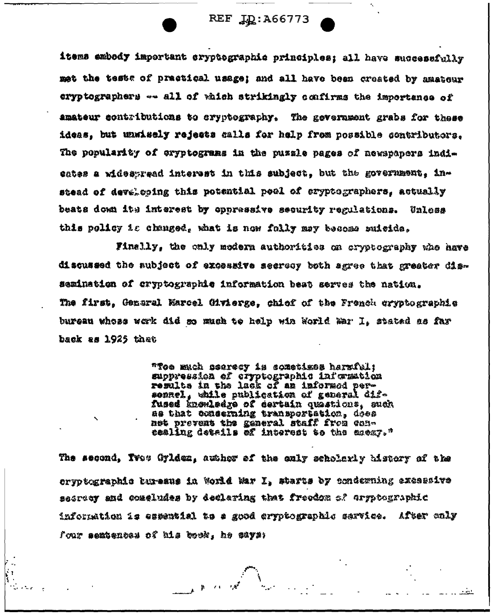## REF ID: A66773

items embody important cryptographic principles: all have successfully met the tests of practical usage; and all have been created by amateur cryptographers -- all of which strikingly confirms the importance of amateur contributions to cryptography. The gevernment grabs for these ideas. but unwisely rejects calls for help from possible contributors. The popularity of exyptograms in the puzzle pages of newspapers indiestes a widesgreed interest in this subject. but the government. instead of developing this potential pool of eryptographers, actually beats down its interest by oppressive security regulations. Unless this policy is changed, what is now folly may become suicide.

Finally, the only modern authorities on cryptocraphy who have discussed the subject of excessive secrecy both agree that greater dissemination of cryptographic information best serves the nation. The first, Genaral Marcel (Myierge, chief of the French cryptographic bureau whose werk did so mush te help win World War I. stated as far back as 1925 thet

> "Toe much seeresy is sometimes harmful: suppression of cryptographic information results in the lack of an informed persenacl, while publication of general diffused knowledge of certain quastions, such as that conserning transportation, does net prevent the general staff from concealing details of interest to the escay."

The second, Twos Gylden, author of the only scholarly history of the ervoterabiis buresus in World Mar I, starts by emderning excessive sacreer and congludes by declaring that freedom of erspregraphic information is espential to a good cryptographic sarvice. After anly four semtences of his book, he gays: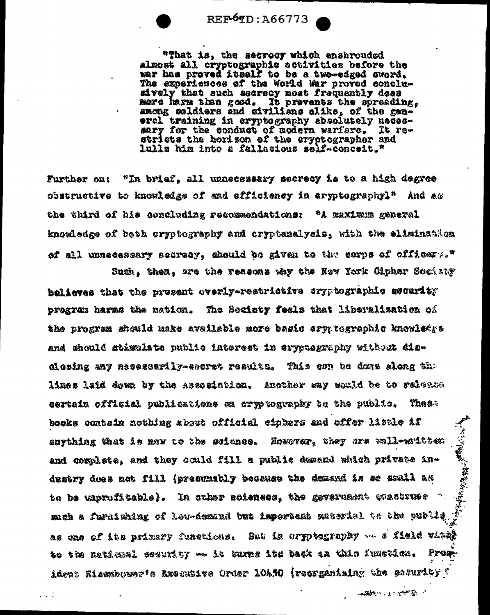$REF6TD: A66773$ 

"That is, the secreoy which enshrouded almost all cryptographic activities before the war has proved itself to be a two-edged sword. The experiences of the World War proved conclusively that such secrecy nost frequently dees more harm than good. It provents the spreading, among soldiers and civilians alike, of the general training in cryptography absolutely necessary for the conduct of modern warfare. It restricts the horizon of the cryptographer and lulls him into a fallacious self-conceit,"

Further on: "In brief, all unnecessary secrecy is to a high degree obstructive to knowledge of and efficiency in aryptographyl<sup>s</sup> And as the third of his concluding recommendations: "A maximum general knowledge of beth cryptography and cryptanalysis, with the elimination of all unnecessary secrecy, should be given to the corns of efficer A." Such, thea, are the reasons why the New York Cipher Sociaty

believes that the present overly-restrictive ary tographic sequrity program haras the nation. The Society feels that liberalization of the program should make available more basic ery tographic knowledys and should stimulate public interest in cryptography without disclosing any necessarily-secret results. This con be done slong the lines laid down by the Association. Another way would be to relation eertein official publications ga cryptography to the public. These books contain nothing about official eiphers and offer little if 「ことのことをある こうかいこう snything that is now to the seience. However, they are well-maitten and complete, and they could fill a public demand which private industry does not fill (presumably because the domand is se soull as to be unprofitable). In other sciences, the gevernment construes mich a furnishing of low-demand but important material to the public as one of its primary functions. But in orpptening on a field vital to the neticual ecourity —— it turns its back on this function. Prean ident Eisemburnets Executive Order 10450 (recremising the security ?

Address of the Company